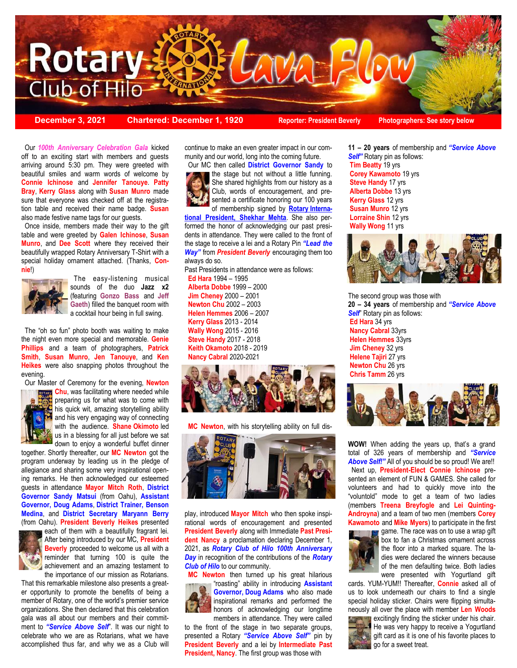

**December 3, 2021 Chartered: December 1, 1920 Reporter: President Beverly Photographers: See story below**

 **Connie Ichinose** and **Jennifer Tanouye**. **Patty**  Our *100th Anniversary Celebration Gala* kicked off to an exciting start with members and guests arriving around 5:30 pm. They were greeted with beautiful smiles and warm words of welcome by **Bray**, **Kerry Glass** along with **Susan Munro** made sure that everyone was checked off at the registration table and received their name badge. **Susan** also made festive name tags for our guests.

 Once inside, members made their way to the gift table and were greeted by **Galen Ichinose**, **Susan Munro**, and **Dee Scott** where they received their beautifully wrapped Rotary Anniversary T-Shirt with a special holiday ornament attached. (Thanks, **Connie**!)



 The easy-listening musical sounds of the duo **Jazz x2**  (featuring **Gonzo Bass** and **Jeff Gaeth**) filled the banquet room with a cocktail hour being in full swing.

 The "oh so fun" photo booth was waiting to make the night even more special and memorable. **Genie Phillips** and a team of photographers, **Patrick Smith**, **Susan Munro**, **Jen Tanouye**, and **Ken Heikes** were also snapping photos throughout the evening.



 Our Master of Ceremony for the evening, **Newton Chu**, was facilitating where needed while preparing us for what was to come with his quick wit, amazing storytelling ability and his very engaging way of connecting with the audience. **Shane Okimoto** led us in a blessing for all just before we sat down to enjoy a wonderful buffet dinner

together. Shortly thereafter, our **MC Newton** got the program underway by leading us in the pledge of allegiance and sharing some very inspirational opening remarks. He then acknowledged our esteemed guests in attendance **Mayor Mitch Roth**, **District Governor Sandy Matsui** (from Oahu), **Assistant Governor, Doug Adams**, **District Trainer, Benson Medina**, and **District Secretary Maryann Berry** (from Oahu). **President Beverly Heikes** presented



each of them with a beautifully fragrant lei. After being introduced by our MC, **President Beverly** proceeded to welcome us all with a reminder that turning 100 is quite the achievement and an amazing testament to the importance of our mission as Rotarians.

That this remarkable milestone also presents a greater opportunity to promote the benefits of being a member of Rotary, one of the world's premier service organizations. She then declared that this celebration gala was all about our members and their commitment to *"Service Above Self*". It was our night to celebrate who we are as Rotarians, what we have accomplished thus far, and why we as a Club will continue to make an even greater impact in our community and our world, long into the coming future.

 Our MC then called **District Governor Sandy** to the stage but not without a little funning. She shared highlights from our history as a Club, words of encouragement, and presented a certificate honoring our 100 years of membership signed by **Rotary Interna-**

**tional President, Shekhar Mehta**. She also performed the honor of acknowledging our past presidents in attendance. They were called to the front of the stage to receive a lei and a Rotary Pin *"Lead the Way"* from *President Beverly* encouraging them too always do so.

Past Presidents in attendance were as follows:

 **Ed Hara** 1994 – 1995  **Alberta Dobbe** 1999 – 2000 **Jim Cheney** 2000 – 2001 **Newton Chu** 2002 – 2003 **Helen Hemmes** 2006 – 2007  **Kerry Glass** 2013 - 2014 **Wally Wong** 2015 - 2016 **Steve Handy** 2017 - 2018 **Keith Okamoto** 2018 - 2019 **Nancy Cabral** 2020-2021



 **MC Newton**, with his storytelling ability on full dis-



play, introduced **Mayor Mitch** who then spoke inspirational words of encouragement and presented **President Beverly** along with Immediate **Past President Nancy** a proclamation declaring December 1, 2021, as *Rotary Club of Hilo 100th Anniversary Day* in recognition of the contributions of the *Rotary Club of Hilo* to our community.

 **MC Newton** then turned up his great hilarious "roasting" ability in introducing **Assistant Governor, Doug Adams** who also made inspirational remarks and performed the honors of acknowledging our longtime members in attendance. They were called

to the front of the stage in two separate groups, presented a Rotary *"Service Above Self"* pin by **President Beverly** and a lei by **Intermediate Past President, Nancy.** The first group was those with

**11 – 20 years** of membership and *"Service Above Self"* Rotary pin as follows: **Tim Beatty** 19 yrs **Corey Kawamoto** 19 yrs **Steve Handy** 17 yrs **Alberta Dobbe** 13 yrs **Kerry Glass** 12 yrs **Susan Munro** 12 yrs **Lorraine Shin** 12 yrs **Wally Wong** 11 yrs



The second group was those with **20 – 34 years** of membership and *"Service Above*  **Self**" Rotary pin as follows: **Ed Hara** 34 yrs **Nancy Cabral** 33yrs **Helen Hemmes** 33yrs **Jim Cheney** 32 yrs **Helene Tajiri** 27 yrs **Newton Chu** 26 yrs **Chris Tamm** 26 yrs



**WOW!** When adding the years up, that's a grand total of 326 years of membership and *"Service Above Self!"* All of you should be so proud! We are!! Next up, **President-Elect Connie Ichinose** presented an element of FUN & GAMES. She called for volunteers and had to quickly move into the "voluntold" mode to get a team of two ladies (members **Treena Breyfogle** and **Lei Quinting-Androyna**) and a team of two men (members **Corey Kawamoto** and **Mike Myers**) to participate in the first



game. The race was on to use a wrap gift box to fan a Christmas ornament across the floor into a marked square. The ladies were declared the winners because of the men defaulting twice. Both ladies were presented with Yogurtland gift

cards. YUM-YUM!! Thereafter, **Connie** asked all of us to look underneath our chairs to find a single special holiday sticker. Chairs were flipping simultaneously all over the place with member **Len Woods** 



excitingly finding the sticker under his chair. He was very happy to receive a Yogurtland gift card as it is one of his favorite places to go for a sweet treat.